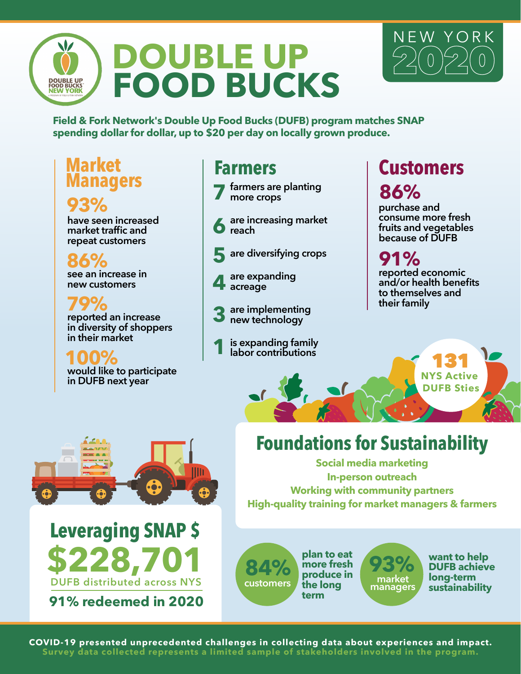



**Field & Fork Network's Double Up Food Bucks (DUFB) program matches SNAP spending dollar for dollar, up to \$20 per day on locally grown produce.**

## **Market Managers**

## **93%**

**have seen increased market traffic and repeat customers**

**see an increase in new customers 86%**

**reported an increase in diversity of shoppers in their market 79%**

**would like to participate in DUFB next year 100%**

## **Farmers**

**farmers are planting more crops 7**

- **are increasing market reach 6**
- **are diversifying crops 5**
- **are expanding acreage 4**
- **are implementing new technology 3**
- **is expanding family labor contributions 1**

# **Customers 86%**

**purchase and consume more fresh fruits and vegetables because of DUFB**

#### **reported economic and/or health benefits to themselves and their family 91%**

131 **NYS Active DUFB Sties**

# **Foundations for Sustainability**

**Social media marketing In-person outreach Working with community partners High-quality training for market managers & farmers** 





**91% redeemed in 2020**

customers **customers market managers plan to eat more fresh produce in the long term**



**want to help DUFB achieve long-term sustainability**

**COVID-19 presented unprecedented challenges in collecting data about experiences and impact. Survey data collected represents a limited sample of stakeholders involved in the program.**